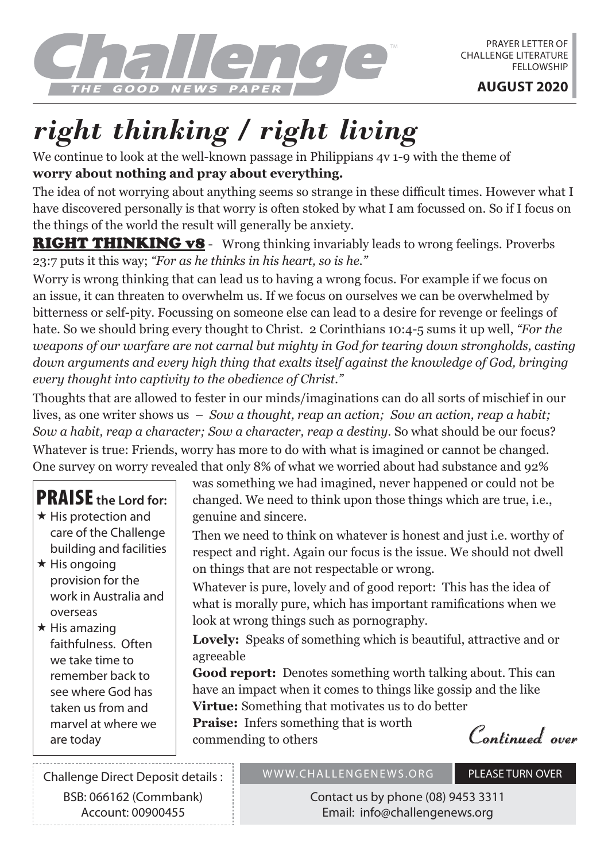

## *right thinking / right living*

We continue to look at the well-known passage in Philippians 4v 1-9 with the theme of **worry about nothing and pray about everything.**

The idea of not worrying about anything seems so strange in these difficult times. However what I have discovered personally is that worry is often stoked by what I am focussed on. So if I focus on the things of the world the result will generally be anxiety.

**RIGHT THINKING v8** - Wrong thinking invariably leads to wrong feelings. Proverbs 23:7 puts it this way; *"For as he thinks in his heart, so is he."*

Worry is wrong thinking that can lead us to having a wrong focus. For example if we focus on an issue, it can threaten to overwhelm us. If we focus on ourselves we can be overwhelmed by bitterness or self-pity. Focussing on someone else can lead to a desire for revenge or feelings of hate. So we should bring every thought to Christ. 2 Corinthians 10:4-5 sums it up well, *"For the*  weapons of our warfare are not carnal but mighty in God for tearing down strongholds, casting *down arguments and every high thing that exalts itself against the knowledge of God, bringing every thought into captivity to the obedience of Christ."*

Thoughts that are allowed to fester in our minds/imaginations can do all sorts of mischief in our lives, as one writer shows us – *Sow a thought, reap an action; Sow an action, reap a habit; Sow a habit, reap a character; Sow a character, reap a destiny.* So what should be our focus?

Whatever is true: Friends, worry has more to do with what is imagined or cannot be changed. One survey on worry revealed that only 8% of what we worried about had substance and 92%

## PRAISE **the Lord for:**

- $\star$  His protection and care of the Challenge building and facilities
- $\star$  His ongoing provision for the work in Australia and overseas
- $\star$  His amazing faithfulness. Often we take time to remember back to see where God has taken us from and marvel at where we are today

was something we had imagined, never happened or could not be changed. We need to think upon those things which are true, i.e., genuine and sincere.

Then we need to think on whatever is honest and just i.e. worthy of respect and right. Again our focus is the issue. We should not dwell on things that are not respectable or wrong.

Whatever is pure, lovely and of good report: This has the idea of what is morally pure, which has important ramifications when we look at wrong things such as pornography.

**Lovely:** Speaks of something which is beautiful, attractive and or agreeable

**Good report:** Denotes something worth talking about. This can have an impact when it comes to things like gossip and the like

**Virtue:** Something that motivates us to do better

**Praise:** Infers something that is worth commending to others

**Continued over**

Challenge Direct Deposit details : BSB: 066162 (Commbank) Account: 00900455

## WWW.CHALLENGENEWS.ORG PLEASE TURN OVER

Contact us by phone (08) 9453 3311 Email: info@challengenews.org